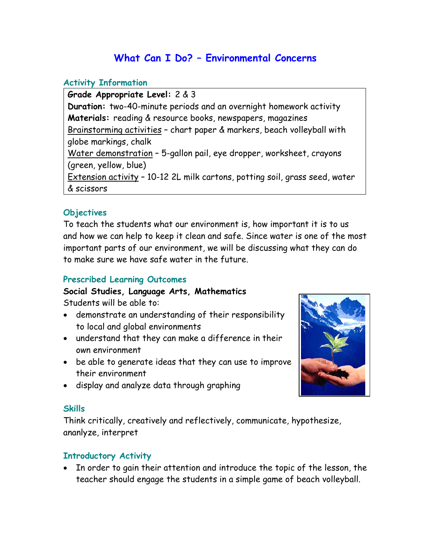# **What Can I Do? – Environmental Concerns**

### **Activity Information**

**Grade Appropriate Level:** 2 & 3 **Duration:** two-40-minute periods and an overnight homework activity **Materials:** reading & resource books, newspapers, magazines Brainstorming activities – chart paper & markers, beach volleyball with globe markings, chalk Water demonstration – 5-gallon pail, eye dropper, worksheet, crayons (green, yellow, blue) Extension activity – 10-12 2L milk cartons, potting soil, grass seed, water & scissors

# **Objectives**

To teach the students what our environment is, how important it is to us and how we can help to keep it clean and safe. Since water is one of the most important parts of our environment, we will be discussing what they can do to make sure we have safe water in the future.

# **Prescribed Learning Outcomes**

## **Social Studies, Language Arts, Mathematics**  Students will be able to:

- demonstrate an understanding of their responsibility to local and global environments
- understand that they can make a difference in their own environment
- be able to generate ideas that they can use to improve their environment
- display and analyze data through graphing

### **Skills**

Think critically, creatively and reflectively, communicate, hypothesize, ananlyze, interpret

# **Introductory Activity**

• In order to gain their attention and introduce the topic of the lesson, the teacher should engage the students in a simple game of beach volleyball.

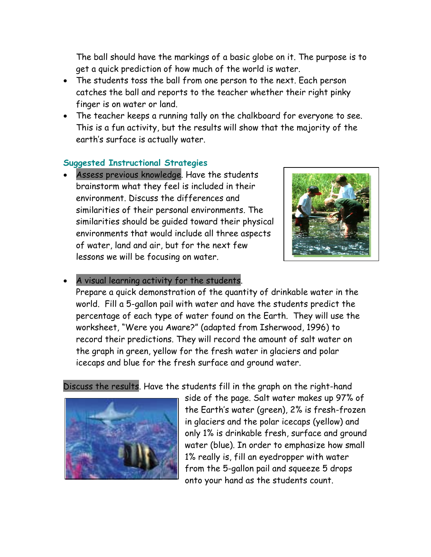The ball should have the markings of a basic globe on it. The purpose is to get a quick prediction of how much of the world is water.

- The students toss the ball from one person to the next. Each person catches the ball and reports to the teacher whether their right pinky finger is on water or land.
- The teacher keeps a running tally on the chalkboard for everyone to see. This is a fun activity, but the results will show that the majority of the earth's surface is actually water.

# **Suggested Instructional Strategies**

Assess previous knowledge. Have the students brainstorm what they feel is included in their environment. Discuss the differences and similarities of their personal environments. The similarities should be guided toward their physical environments that would include all three aspects of water, land and air, but for the next few lessons we will be focusing on water.



#### A visual learning activity for the students.

Prepare a quick demonstration of the quantity of drinkable water in the world. Fill a 5-gallon pail with water and have the students predict the percentage of each type of water found on the Earth. They will use the worksheet, "Were you Aware?" (adapted from Isherwood, 1996) to record their predictions. They will record the amount of salt water on the graph in green, yellow for the fresh water in glaciers and polar icecaps and blue for the fresh surface and ground water.

Discuss the results. Have the students fill in the graph on the right-hand



side of the page. Salt water makes up 97% of the Earth's water (green), 2% is fresh-frozen in glaciers and the polar icecaps (yellow) and only 1% is drinkable fresh, surface and ground water (blue). In order to emphasize how small 1% really is, fill an eyedropper with water from the 5-gallon pail and squeeze 5 drops onto your hand as the students count.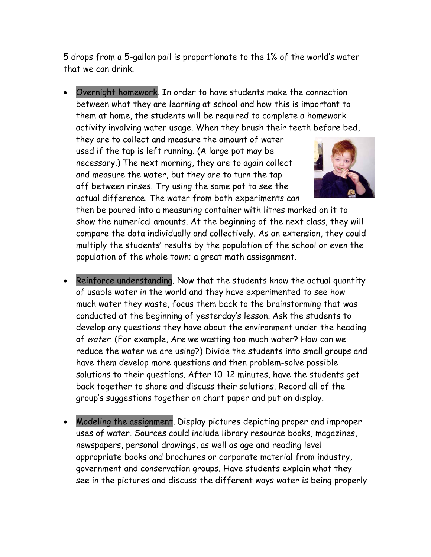5 drops from a 5-gallon pail is proportionate to the 1% of the world's water that we can drink.

• Overnight homework. In order to have students make the connection between what they are learning at school and how this is important to them at home, the students will be required to complete a homework activity involving water usage. When they brush their teeth before bed,

they are to collect and measure the amount of water used if the tap is left running. (A large pot may be necessary.) The next morning, they are to again collect and measure the water, but they are to turn the tap off between rinses. Try using the same pot to see the actual difference. The water from both experiments can



then be poured into a measuring container with litres marked on it to show the numerical amounts. At the beginning of the next class, they will compare the data individually and collectively. As an extension, they could multiply the students' results by the population of the school or even the population of the whole town; a great math assisgnment.

- Reinforce understanding. Now that the students know the actual quantity of usable water in the world and they have experimented to see how much water they waste, focus them back to the brainstorming that was conducted at the beginning of yesterday's lesson. Ask the students to develop any questions they have about the environment under the heading of water. (For example, Are we wasting too much water? How can we reduce the water we are using?) Divide the students into small groups and have them develop more questions and then problem-solve possible solutions to their questions. After 10-12 minutes, have the students get back together to share and discuss their solutions. Record all of the group's suggestions together on chart paper and put on display.
- Modeling the assignment. Display pictures depicting proper and improper uses of water. Sources could include library resource books, magazines, newspapers, personal drawings, as well as age and reading level appropriate books and brochures or corporate material from industry, government and conservation groups. Have students explain what they see in the pictures and discuss the different ways water is being properly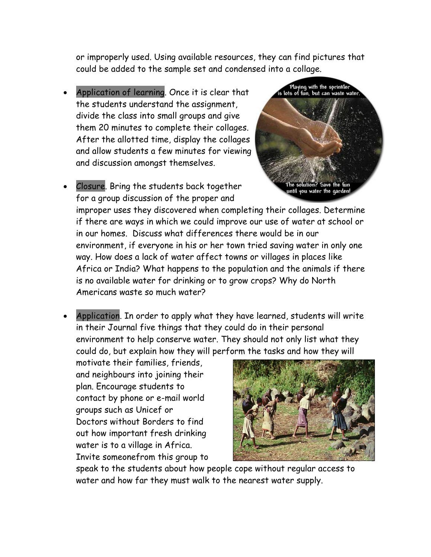or improperly used. Using available resources, they can find pictures that could be added to the sample set and condensed into a collage.

- Application of learning. Once it is clear that the students understand the assignment, divide the class into small groups and give them 20 minutes to complete their collages. After the allotted time, display the collages and allow students a few minutes for viewing and discussion amongst themselves.
- Closure. Bring the students back together for a group discussion of the proper and



improper uses they discovered when completing their collages. Determine if there are ways in which we could improve our use of water at school or in our homes. Discuss what differences there would be in our environment, if everyone in his or her town tried saving water in only one way. How does a lack of water affect towns or villages in places like Africa or India? What happens to the population and the animals if there is no available water for drinking or to grow crops? Why do North Americans waste so much water?

Application. In order to apply what they have learned, students will write in their Journal five things that they could do in their personal environment to help conserve water. They should not only list what they could do, but explain how they will perform the tasks and how they will

motivate their families, friends, and neighbours into joining their plan. Encourage students to contact by phone or e-mail world groups such as Unicef or Doctors without Borders to find out how important fresh drinking water is to a village in Africa. Invite someonefrom this group to



speak to the students about how people cope without regular access to water and how far they must walk to the nearest water supply.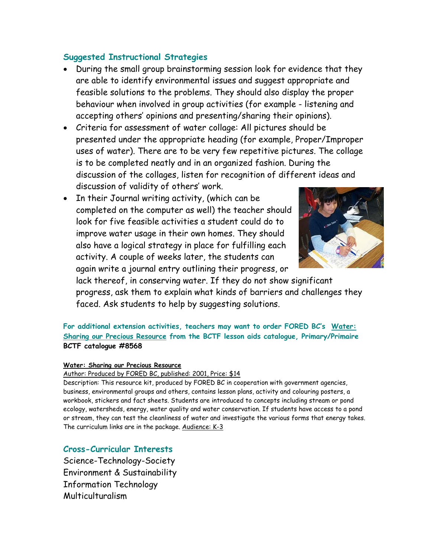# **Suggested Instructional Strategies**

- During the small group brainstorming session look for evidence that they are able to identify environmental issues and suggest appropriate and feasible solutions to the problems. They should also display the proper behaviour when involved in group activities (for example - listening and accepting others' opinions and presenting/sharing their opinions).
- Criteria for assessment of water collage: All pictures should be presented under the appropriate heading (for example, Proper/Improper uses of water). There are to be very few repetitive pictures. The collage is to be completed neatly and in an organized fashion. During the discussion of the collages, listen for recognition of different ideas and discussion of validity of others' work.
- In their Journal writing activity, (which can be completed on the computer as well) the teacher should look for five feasible activities a student could do to improve water usage in their own homes. They should also have a logical strategy in place for fulfilling each activity. A couple of weeks later, the students can again write a journal entry outlining their progress, or



lack thereof, in conserving water. If they do not show significant progress, ask them to explain what kinds of barriers and challenges they faced. Ask students to help by suggesting solutions.

**For additional extension activities, teachers may want to order FORED BC's Water: Sharing our Precious Resource from the BCTF lesson aids catalogue, Primary/Primaire BCTF catalogue #8568** 

#### **Water: Sharing our Precious Resource**

#### Author: Produced by FORED BC, published: 2001, Price: \$14

Description: This resource kit, produced by FORED BC in cooperation with government agencies, business, environmental groups and others, contains lesson plans, activity and colouring posters, a workbook, stickers and fact sheets. Students are introduced to concepts including stream or pond ecology, watersheds, energy, water quality and water conservation. If students have access to a pond or stream, they can test the cleanliness of water and investigate the various forms that energy takes. The curriculum links are in the package. Audience: K-3

### **Cross-Curricular Interests**

Science-Technology-Society Environment & Sustainability Information Technology Multiculturalism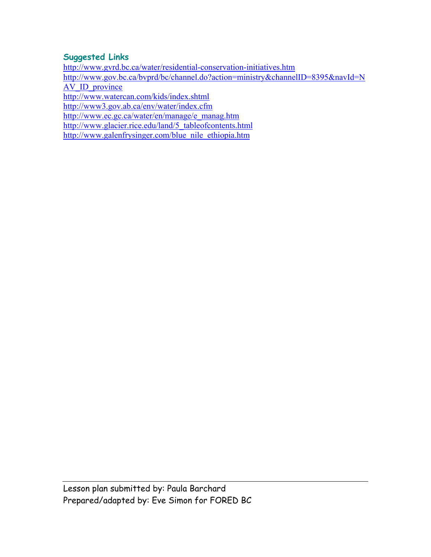## **Suggested Links**

<http://www.gvrd.bc.ca/water/residential-conservation-initiatives.htm>

[http://www.gov.bc.ca/bvprd/bc/channel.do?action=ministry&channelID=8395&navId=N](http://www.gov.bc.ca/bvprd/bc/channel.do?action=ministry&channelID=8395&navId=NAV_ID_province)

[AV\\_ID\\_province](http://www.gov.bc.ca/bvprd/bc/channel.do?action=ministry&channelID=8395&navId=NAV_ID_province)

<http://www.watercan.com/kids/index.shtml>

<http://www3.gov.ab.ca/env/water/index.cfm>

[http://www.ec.gc.ca/water/en/manage/e\\_manag.htm](http://www.ec.gc.ca/water/en/manage/e_manag.htm)

[http://www.glacier.rice.edu/land/5\\_tableofcontents.html](http://www.glacier.rice.edu/land/5_tableofcontents.html)

[http://www.galenfrysinger.com/blue\\_nile\\_ethiopia.htm](http://www.galenfrysinger.com/blue_nile_ethiopia.htm)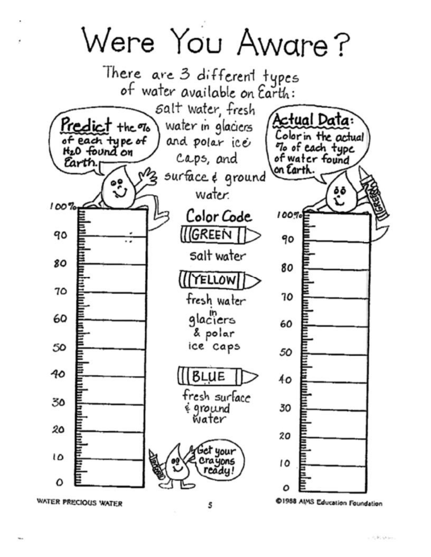Were You Aware?



5